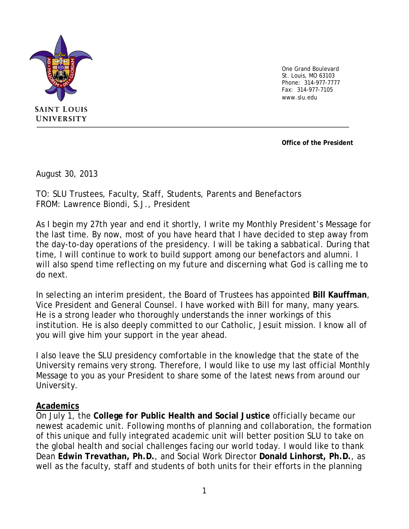

One Grand Boulevard St. Louis, MO 63103 Phone: 314-977-7777 Fax: 314-977-7105 www.slu.edu

**Office of the President**

August 30, 2013

TO: SLU Trustees, Faculty, Staff, Students, Parents and Benefactors FROM: Lawrence Biondi, S.J., President

As I begin my 27th year and end it shortly, I write my Monthly President's Message for the last time. By now, most of you have heard that I have decided to step away from the day-to-day operations of the presidency. I will be taking a sabbatical. During that time, I will continue to work to build support among our benefactors and alumni. I will also spend time reflecting on my future and discerning what God is calling me to do next.

In selecting an interim president, the Board of Trustees has appointed **Bill Kauffman**, Vice President and General Counsel. I have worked with Bill for many, many years. He is a strong leader who thoroughly understands the inner workings of this institution. He is also deeply committed to our Catholic, Jesuit mission. I know all of you will give him your support in the year ahead.

I also leave the SLU presidency comfortable in the knowledge that the state of the University remains very strong. Therefore, I would like to use my last official Monthly Message to you as your President to share some of the latest news from around our University.

#### **Academics**

On July 1, the **College** *for* **Public Health and Social Justice** officially became our newest academic unit. Following months of planning and collaboration, the formation of this unique and fully integrated academic unit will better position SLU to take on the global health and social challenges facing our world today. I would like to thank Dean **Edwin Trevathan, Ph.D.**, and Social Work Director **Donald Linhorst, Ph.D.**, as well as the faculty, staff and students of both units for their efforts in the planning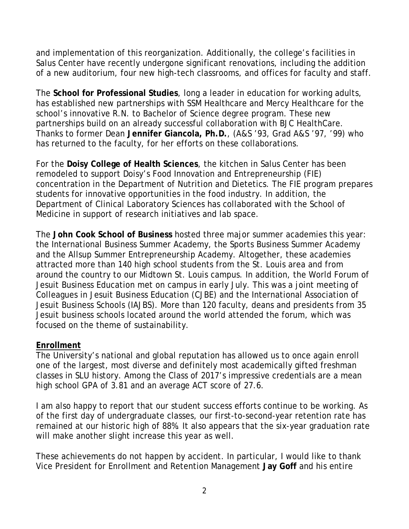and implementation of this reorganization. Additionally, the college's facilities in Salus Center have recently undergone significant renovations, including the addition of a new auditorium, four new high-tech classrooms, and offices for faculty and staff.

The **School for Professional Studies**, long a leader in education for working adults, has established new partnerships with SSM Healthcare and Mercy Healthcare for the school's innovative R.N. to Bachelor of Science degree program. These new partnerships build on an already successful collaboration with BJC HealthCare. Thanks to former Dean **Jennifer Giancola, Ph.D.**, (A&S '93, Grad A&S '97, '99) who has returned to the faculty, for her efforts on these collaborations.

For the **Doisy College of Health Sciences**, the kitchen in Salus Center has been remodeled to support Doisy's Food Innovation and Entrepreneurship (FIE) concentration in the Department of Nutrition and Dietetics. The FIE program prepares students for innovative opportunities in the food industry. In addition, the Department of Clinical Laboratory Sciences has collaborated with the School of Medicine in support of research initiatives and lab space.

The **John Cook School of Business** hosted three major summer academies this year: the International Business Summer Academy, the Sports Business Summer Academy and the Allsup Summer Entrepreneurship Academy. Altogether, these academies attracted more than 140 high school students from the St. Louis area and from around the country to our Midtown St. Louis campus. In addition, the World Forum of Jesuit Business Education met on campus in early July. This was a joint meeting of Colleagues in Jesuit Business Education (CJBE) and the International Association of Jesuit Business Schools (IAJBS). More than 120 faculty, deans and presidents from 35 Jesuit business schools located around the world attended the forum, which was focused on the theme of sustainability.

## **Enrollment**

The University's national and global reputation has allowed us to once again enroll one of the largest, most diverse and definitely most academically gifted freshman classes in SLU history. Among the Class of 2017's impressive credentials are a mean high school GPA of 3.81 and an average ACT score of 27.6.

I am also happy to report that our student success efforts continue to be working. As of the first day of undergraduate classes, our first-to-second-year retention rate has remained at our historic high of 88%. It also appears that the six-year graduation rate will make another slight increase this year as well.

These achievements do not happen by accident. In particular, I would like to thank Vice President for Enrollment and Retention Management **Jay Goff** and his entire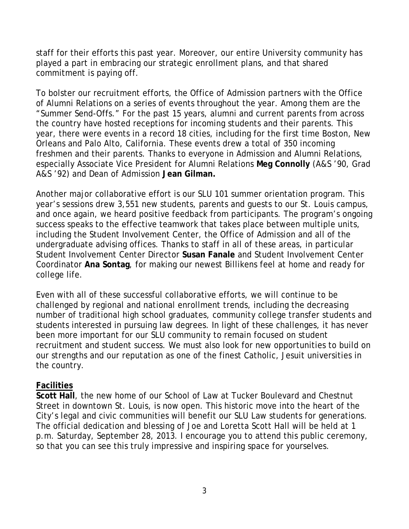staff for their efforts this past year. Moreover, our entire University community has played a part in embracing our strategic enrollment plans, and that shared commitment is paying off.

To bolster our recruitment efforts, the Office of Admission partners with the Office of Alumni Relations on a series of events throughout the year. Among them are the "Summer Send-Offs." For the past 15 years, alumni and current parents from across the country have hosted receptions for incoming students and their parents. This year, there were events in a record 18 cities, including for the first time Boston, New Orleans and Palo Alto, California. These events drew a total of 350 incoming freshmen and their parents. Thanks to everyone in Admission and Alumni Relations, especially Associate Vice President for Alumni Relations **Meg Connolly** (A&S '90, Grad A&S '92) and Dean of Admission **Jean Gilman.**

Another major collaborative effort is our SLU 101 summer orientation program. This year's sessions drew 3,551 new students, parents and guests to our St. Louis campus, and once again, we heard positive feedback from participants. The program's ongoing success speaks to the effective teamwork that takes place between multiple units, including the Student Involvement Center, the Office of Admission and all of the undergraduate advising offices. Thanks to staff in all of these areas, in particular Student Involvement Center Director **Susan Fanale** and Student Involvement Center Coordinator **Ana Sontag**, for making our newest Billikens feel at home and ready for college life.

Even with all of these successful collaborative efforts, we will continue to be challenged by regional and national enrollment trends, including the decreasing number of traditional high school graduates, community college transfer students and students interested in pursuing law degrees. In light of these challenges, it has never been more important for our SLU community to remain focused on student recruitment and student success. We must also look for new opportunities to build on our strengths and our reputation as one of the finest Catholic, Jesuit universities in the country.

## **Facilities**

**Scott Hall**, the new home of our School of Law at Tucker Boulevard and Chestnut Street in downtown St. Louis, is now open. This historic move into the heart of the City's legal and civic communities will benefit our SLU Law students for generations. The official dedication and blessing of Joe and Loretta Scott Hall will be held at 1 p.m. Saturday, September 28, 2013. I encourage you to attend this public ceremony, so that you can see this truly impressive and inspiring space for yourselves.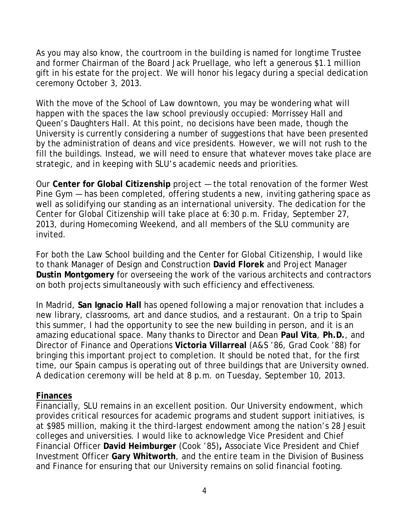As you may also know, the courtroom in the building is named for longtime Trustee and former Chairman of the Board Jack Pruellage, who left a generous \$1.1 million gift in his estate for the project. We will honor his legacy during a special dedication ceremony October 3, 2013.

With the move of the School of Law downtown, you may be wondering what will happen with the spaces the law school previously occupied: Morrissey Hall and Queen's Daughters Hall. At this point, no decisions have been made, though the University is currently considering a number of suggestions that have been presented by the administration of deans and vice presidents. However, we will not rush to the fill the buildings. Instead, we will need to ensure that whatever moves take place are strategic, and in keeping with SLU's academic needs and priorities.

Our **Center for Global Citizenship** project — the total renovation of the former West Pine Gym — has been completed, offering students a new, inviting gathering space as well as solidifying our standing as an international university. The dedication for the Center for Global Citizenship will take place at 6:30 p.m. Friday, September 27, 2013, during Homecoming Weekend, and all members of the SLU community are invited.

For both the Law School building and the Center for Global Citizenship, I would like to thank Manager of Design and Construction **David Florek** and Project Manager **Dustin Montgomery** for overseeing the work of the various architects and contractors on both projects simultaneously with such efficiency and effectiveness.

In Madrid, **San Ignacio Hall** has opened following a major renovation that includes a new library, classrooms, art and dance studios, and a restaurant. On a trip to Spain this summer, I had the opportunity to see the new building in person, and it is an amazing educational space. Many thanks to Director and Dean **Paul Vita**, **Ph.D.**, and Director of Finance and Operations **Victoria Villarreal** (A&S '86, Grad Cook '88) for bringing this important project to completion. It should be noted that, for the first time, our Spain campus is operating out of three buildings that are University owned. A dedication ceremony will be held at 8 p.m. on Tuesday, September 10, 2013.

#### **Finances**

Financially, SLU remains in an excellent position. Our University endowment, which provides critical resources for academic programs and student support initiatives, is at \$985 million, making it the third-largest endowment among the nation's 28 Jesuit colleges and universities. I would like to acknowledge Vice President and Chief Financial Officer **David Heimburger** (Cook '85)**,** Associate Vice President and Chief Investment Officer **Gary Whitworth**, and the entire team in the Division of Business and Finance for ensuring that our University remains on solid financial footing.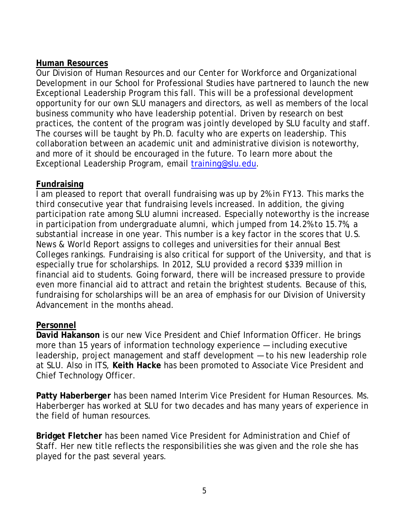# **Human Resources**

Our Division of Human Resources and our Center for Workforce and Organizational Development in our School for Professional Studies have partnered to launch the new Exceptional Leadership Program this fall. This will be a professional development opportunity for our own SLU managers and directors, as well as members of the local business community who have leadership potential. Driven by research on best practices, the content of the program was jointly developed by SLU faculty and staff. The courses will be taught by Ph.D. faculty who are experts on leadership. This collaboration between an academic unit and administrative division is noteworthy, and more of it should be encouraged in the future. To learn more about the Exceptional Leadership Program, email [training@slu.edu.](mailto:training@slu.edu)

# **Fundraising**

I am pleased to report that overall fundraising was up by 2% in FY13. This marks the third consecutive year that fundraising levels increased. In addition, the giving participation rate among SLU alumni increased. Especially noteworthy is the increase in participation from undergraduate alumni, which jumped from 14.2% to 15.7%, a substantial increase in one year. This number is a key factor in the scores that *U.S. News & World Report* assigns to colleges and universities for their annual Best Colleges rankings. Fundraising is also critical for support of the University, and that is especially true for scholarships. In 2012, SLU provided a record \$339 million in financial aid to students. Going forward, there will be increased pressure to provide even more financial aid to attract and retain the brightest students. Because of this, fundraising for scholarships will be an area of emphasis for our Division of University Advancement in the months ahead.

## **Personnel**

**David Hakanson** is our new Vice President and Chief Information Officer. He brings more than 15 years of information technology experience — including executive leadership, project management and staff development — to his new leadership role at SLU. Also in ITS, **Keith Hacke** has been promoted to Associate Vice President and Chief Technology Officer.

**Patty Haberberger** has been named Interim Vice President for Human Resources. Ms. Haberberger has worked at SLU for two decades and has many years of experience in the field of human resources.

**Bridget Fletcher** has been named Vice President for Administration and Chief of Staff. Her new title reflects the responsibilities she was given and the role she has played for the past several years.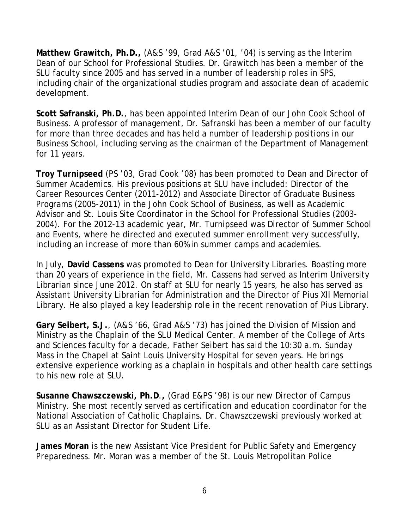**Matthew Grawitch, Ph.D.,** (A&S '99, Grad A&S '01, '04) is serving as the Interim Dean of our School for Professional Studies. Dr. Grawitch has been a member of the SLU faculty since 2005 and has served in a number of leadership roles in SPS, including chair of the organizational studies program and associate dean of academic development.

**Scott Safranski, Ph.D.**, has been appointed Interim Dean of our John Cook School of Business. A professor of management, Dr. Safranski has been a member of our faculty for more than three decades and has held a number of leadership positions in our Business School, including serving as the chairman of the Department of Management for 11 years.

**Troy Turnipseed** (PS '03, Grad Cook '08) has been promoted to Dean and Director of Summer Academics. His previous positions at SLU have included: Director of the Career Resources Center (2011-2012) and Associate Director of Graduate Business Programs (2005-2011) in the John Cook School of Business, as well as Academic Advisor and St. Louis Site Coordinator in the School for Professional Studies (2003- 2004). For the 2012-13 academic year, Mr. Turnipseed was Director of Summer School and Events, where he directed and executed summer enrollment very successfully, including an increase of more than 60% in summer camps and academies.

In July, **David Cassens** was promoted to Dean for University Libraries. Boasting more than 20 years of experience in the field, Mr. Cassens had served as Interim University Librarian since June 2012. On staff at SLU for nearly 15 years, he also has served as Assistant University Librarian for Administration and the Director of Pius XII Memorial Library. He also played a key leadership role in the recent renovation of Pius Library.

**Gary Seibert, S.J.**, (A&S '66, Grad A&S '73) has joined the Division of Mission and Ministry as the Chaplain of the SLU Medical Center. A member of the College of Arts and Sciences faculty for a decade, Father Seibert has said the 10:30 a.m. Sunday Mass in the Chapel at Saint Louis University Hospital for seven years. He brings extensive experience working as a chaplain in hospitals and other health care settings to his new role at SLU.

**Susanne Chawszczewski, Ph.D**.**,** (Grad E&PS '98) is our new Director of Campus Ministry. She most recently served as certification and education coordinator for the National Association of Catholic Chaplains. Dr. Chawszczewski previously worked at SLU as an Assistant Director for Student Life.

**James Moran** is the new Assistant Vice President for Public Safety and Emergency Preparedness. Mr. Moran was a member of the St. Louis Metropolitan Police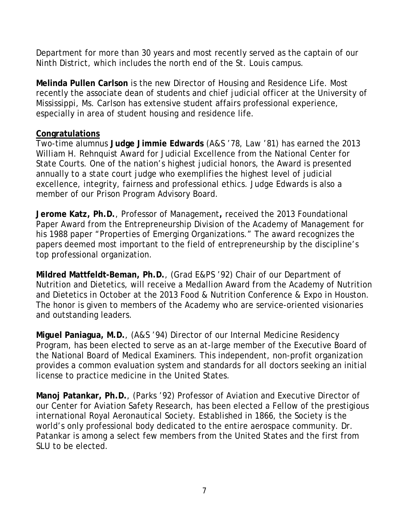Department for more than 30 years and most recently served as the captain of our Ninth District, which includes the north end of the St. Louis campus.

**Melinda Pullen Carlson** is the new Director of Housing and Residence Life. Most recently the associate dean of students and chief judicial officer at the University of Mississippi, Ms. Carlson has extensive student affairs professional experience, especially in area of student housing and residence life.

## **Congratulations**

Two-time alumnus **Judge Jimmie Edwards** (A&S '78, Law '81) has earned the 2013 William H. Rehnquist Award for Judicial Excellence from the National Center for State Courts. One of the nation's highest judicial honors, the Award is presented annually to a state court judge who exemplifies the highest level of judicial excellence, integrity, fairness and professional ethics. Judge Edwards is also a member of our Prison Program Advisory Board.

**Jerome Katz, Ph.D.**, Professor of Management**,** received the 2013 Foundational Paper Award from the Entrepreneurship Division of the Academy of Management for his 1988 paper "Properties of Emerging Organizations." The award recognizes the papers deemed most important to the field of entrepreneurship by the discipline's top professional organization.

**Mildred Mattfeldt-Beman, Ph.D.**, (Grad E&PS '92) Chair of our Department of Nutrition and Dietetics, will receive a Medallion Award from the Academy of Nutrition and Dietetics in October at the 2013 Food & Nutrition Conference & Expo in Houston. The honor is given to members of the Academy who are service-oriented visionaries and outstanding leaders.

**Miguel Paniagua, M.D.**, (A&S '94) Director of our Internal Medicine Residency Program, has been elected to serve as an at-large member of the Executive Board of the National Board of Medical Examiners. This independent, non-profit organization provides a common evaluation system and standards for all doctors seeking an initial license to practice medicine in the United States.

**Manoj Patankar, Ph.D.**, (Parks '92) Professor of Aviation and Executive Director of our Center for Aviation Safety Research, has been elected a Fellow of the prestigious international Royal Aeronautical Society. Established in 1866, the Society is the world's only professional body dedicated to the entire aerospace community. Dr. Patankar is among a select few members from the United States and the first from SLU to be elected.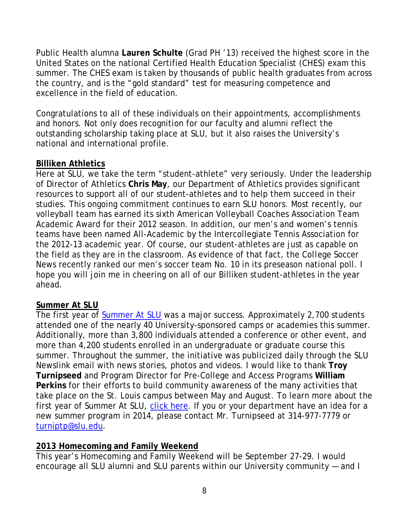Public Health alumna **Lauren Schulte** (Grad PH '13) received the highest score in the United States on the national Certified Health Education Specialist (CHES) exam this summer. The CHES exam is taken by thousands of public health graduates from across the country, and is the "gold standard" test for measuring competence and excellence in the field of education.

Congratulations to all of these individuals on their appointments, accomplishments and honors. Not only does recognition for our faculty and alumni reflect the outstanding scholarship taking place at SLU, but it also raises the University's national and international profile.

## **Billiken Athletics**

Here at SLU, we take the term "student-athlete" very seriously. Under the leadership of Director of Athletics **Chris May**, our Department of Athletics provides significant resources to support all of our student-athletes and to help them succeed in their studies. This ongoing commitment continues to earn SLU honors. Most recently, our volleyball team has earned its sixth American Volleyball Coaches Association Team Academic Award for their 2012 season. In addition, our men's and women's tennis teams have been named All-Academic by the Intercollegiate Tennis Association for the 2012-13 academic year. Of course, our student-athletes are just as capable on the field as they are in the classroom. As evidence of that fact, the *College Soccer News* recently ranked our men's soccer team No. 10 in its preseason national poll. I hope you will join me in cheering on all of our Billiken student-athletes in the year ahead.

# **Summer At SLU**

The first year of [Summer At SLU](https://www.slu.edu/x5053.xml) was a major success. Approximately 2,700 students attended one of the nearly 40 University-sponsored camps or academies this summer. Additionally, more than 3,800 individuals attended a conference or other event, and more than 4,200 students enrolled in an undergraduate or graduate course this summer. Throughout the summer, the initiative was publicized daily through the SLU Newslink email with news stories, photos and videos. I would like to thank **Troy Turnipseed** and Program Director for Pre-College and Access Programs **William Perkins** for their efforts to build community awareness of the many activities that take place on the St. Louis campus between May and August. To learn more about the first year of Summer At SLU, [click here.](http://www.slu.edu/x87066.xml) If you or your department have an idea for a new summer program in 2014, please contact Mr. Turnipseed at 314-977-7779 or [turniptp@slu.edu.](mailto:turniptp@slu.edu)

# **2013 Homecoming and Family Weekend**

This year's Homecoming and Family Weekend will be September 27-29. I would encourage all SLU alumni and SLU parents within our University community — and I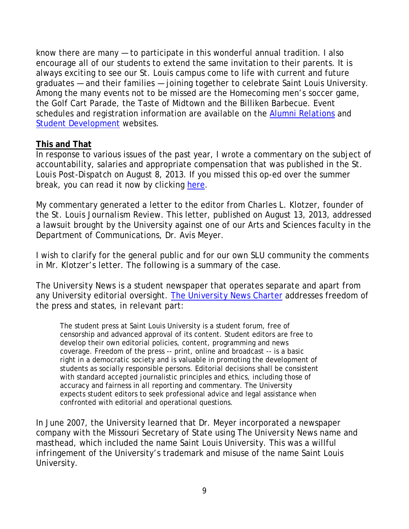know there are many — to participate in this wonderful annual tradition. I also encourage all of our students to extend the same invitation to their parents. It is always exciting to see our St. Louis campus come to life with current and future graduates — and their families — joining together to celebrate Saint Louis University. Among the many events not to be missed are the Homecoming men's soccer game, the Golf Cart Parade, the Taste of Midtown and the Billiken Barbecue. Event schedules and registration information are available on the [Alumni Relations](https://securelb.imodules.com/s/1264/index.aspx?sid=1264&gid=1&pgid=784) and [Student Development](http://www.slu.edu/x24787.xml) websites.

#### **This and That**

In response to various issues of the past year, I wrote a commentary on the subject of accountability, salaries and appropriate compensation that was published in the *St. Louis Post-Dispatch* on August 8, 2013. If you missed this op-ed over the summer break, you can read it now by clicking [here.](http://www.slu.edu/x86636.xml)

My commentary generated a letter to the editor from Charles L. Klotzer, founder of the *St. Louis Journalism Review*. This letter, published on August 13, 2013, addressed a lawsuit brought by the University against one of our Arts and Sciences faculty in the Department of Communications, Dr. Avis Meyer.

I wish to clarify for the general public and for our own SLU community the comments in Mr. Klotzer's letter. The following is a summary of the case.

*The University News* is a student newspaper that operates separate and apart from any University editorial oversight. *[The University News](http://www.slu.edu/docs/University_News_Charter.pdf)* Charter addresses freedom of the press and states, in relevant part:

The student press at Saint Louis University is a student forum, free of censorship and advanced approval of its content. Student editors are free to develop their own editorial policies, content, programming and news coverage. Freedom of the press -- print, online and broadcast -- is a basic right in a democratic society and is valuable in promoting the development of students as socially responsible persons. Editorial decisions shall be consistent with standard accepted journalistic principles and ethics, including those of accuracy and fairness in all reporting and commentary. The University expects student editors to seek professional advice and legal assistance when confronted with editorial and operational questions.

In June 2007, the University learned that Dr. Meyer incorporated a newspaper company with the Missouri Secretary of State using *The University News* name and masthead, which included the name Saint Louis University. This was a willful infringement of the University's trademark and misuse of the name Saint Louis University.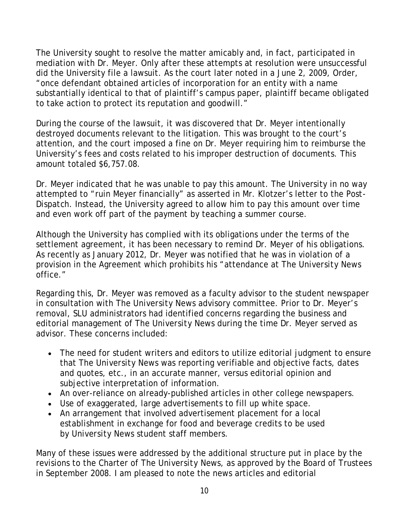The University sought to resolve the matter amicably and, in fact, participated in mediation with Dr. Meyer. Only after these attempts at resolution were unsuccessful did the University file a lawsuit. As the court later noted in a June 2, 2009, Order, "once defendant obtained articles of incorporation for an entity with a name substantially identical to that of plaintiff's campus paper, plaintiff became obligated to take action to protect its reputation and goodwill."

During the course of the lawsuit, it was discovered that Dr. Meyer intentionally destroyed documents relevant to the litigation. This was brought to the court's attention, and the court imposed a fine on Dr. Meyer requiring him to reimburse the University's fees and costs related to his improper destruction of documents. This amount totaled \$6,757.08.

Dr. Meyer indicated that he was unable to pay this amount. The University in no way attempted to "ruin Meyer financially" as asserted in Mr. Klotzer's letter to the *Post-Dispatch*. Instead, the University agreed to allow him to pay this amount over time and even work off part of the payment by teaching a summer course.

Although the University has complied with its obligations under the terms of the settlement agreement, it has been necessary to remind Dr. Meyer of his obligations. As recently as January 2012, Dr. Meyer was notified that he was in violation of a provision in the Agreement which prohibits his "attendance at *The University News* office."

Regarding this, Dr. Meyer was removed as a faculty advisor to the student newspaper in consultation with *The University News* advisory committee. Prior to Dr. Meyer's removal, SLU administrators had identified concerns regarding the business and editorial management of *The University News* during the time Dr. Meyer served as advisor. These concerns included:

- The need for student writers and editors to utilize editorial judgment to ensure that *The University News* was reporting verifiable and objective facts, dates and quotes, etc., in an accurate manner, versus editorial opinion and subjective interpretation of information.
- An over-reliance on already-published articles in other college newspapers.
- Use of exaggerated, large advertisements to fill up white space.
- An arrangement that involved advertisement placement for a local establishment in exchange for food and beverage credits to be used by *University News* student staff members.

Many of these issues were addressed by the additional structure put in place by the revisions to the Charter of *The University News*, as approved by the Board of Trustees in September 2008. I am pleased to note the news articles and editorial